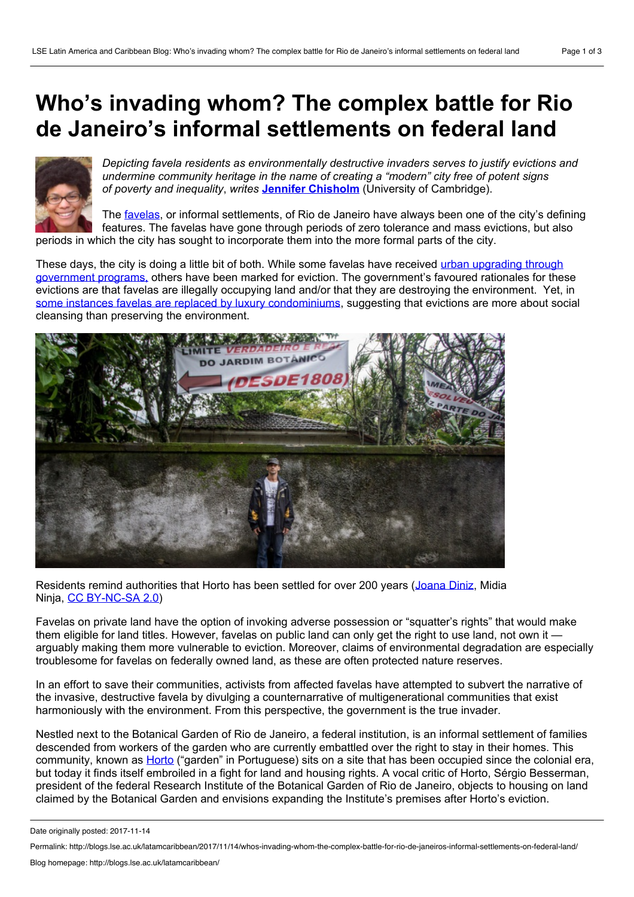## **Who's invading whom? The complex battle for Rio de Janeiro's informal settlements on federal land**



*Depicting favela residents as environmentally destructive invaders serves to justify evictions and undermine community heritage in the name of creating a "modern" city free of potent signs of poverty and inequality*, *writes* **Jennifer [Chisholm](#page-2-0)** (University of Cambridge).

The [favelas](http://www.lincolninst.edu/publications/articles/urban-land-housing-challenges-brazil), or informal settlements, of Rio de Janeiro have always been one of the city's defining features. The favelas have gone through periods of zero tolerance and mass evictions, but also periods in which the city has sought to incorporate them into the more formal parts of the city.

These days, the city is doing a little bit of both. While some favelas have received urban upgrading through government programs, others have been marked for eviction. The [government's](http://healthycities.berkeley.edu/uploads/1/2/6/1/12619988/brazil.pdf) favoured rationales for these evictions are that favelas are illegally occupying land and/or that they are destroying the environment. Yet, in some instances favelas are replaced by luxury [condominiums,](https://thinkprogress.org/rio-destroys-poor-neighborhoods-replaces-them-with-luxury-apartments-for-the-olympics-9ea6a8bbf26a/) suggesting that evictions are more about social cleansing than preserving the environment.



Residents remind authorities that Horto has been settled for over 200 years ([Joana](https://www.flickr.com/photos/midianinja/25374066969/in/album-72157676623554755/) Diniz, Midia Ninja, CC [BY-NC-SA](https://creativecommons.org/licenses/by-nc-sa/2.0/) 2.0)

Favelas on private land have the option of invoking adverse possession or "squatter's rights" that would make them eligible for land titles. However, favelas on public land can only get the right to use land, not own it  $$ arguably making them more vulnerable to eviction. Moreover, claims of environmental degradation are especially troublesome for favelas on federally owned land, as these are often protected nature reserves.

In an effort to save their communities, activists from affected favelas have attempted to subvert the narrative of the invasive, destructive favela by divulging a counternarrative of multigenerational communities that exist harmoniously with the environment. From this perspective, the government is the true invader.

Nestled next to the Botanical Garden of Rio de Janeiro, a federal institution, is an informal settlement of families descended from workers of the garden who are currently embattled over the right to stay in their homes. This community, known as [Horto](https://www.reuters.com/article/us-brazil-landrights-olympics/the-botanical-garden-poised-to-swallow-a-brazilian-favela-idUSKCN11C1T1) ("garden" in Portuguese) sits on a site that has been occupied since the colonial era, but today it finds itself embroiled in a fight for land and housing rights. A vocal critic of Horto, Sérgio Besserman, president of the federal Research Institute of the Botanical Garden of Rio de Janeiro, objects to housing on land claimed by the Botanical Garden and envisions expanding the Institute's premises after Horto's eviction.

Date originally posted: 2017-11-14

Permalink: http://blogs.lse.ac.uk/latamcaribbean/2017/11/14/whos-invading-whom-the-complex-battle-for-rio-de-janeiros-informal-settlements-on-federal-land/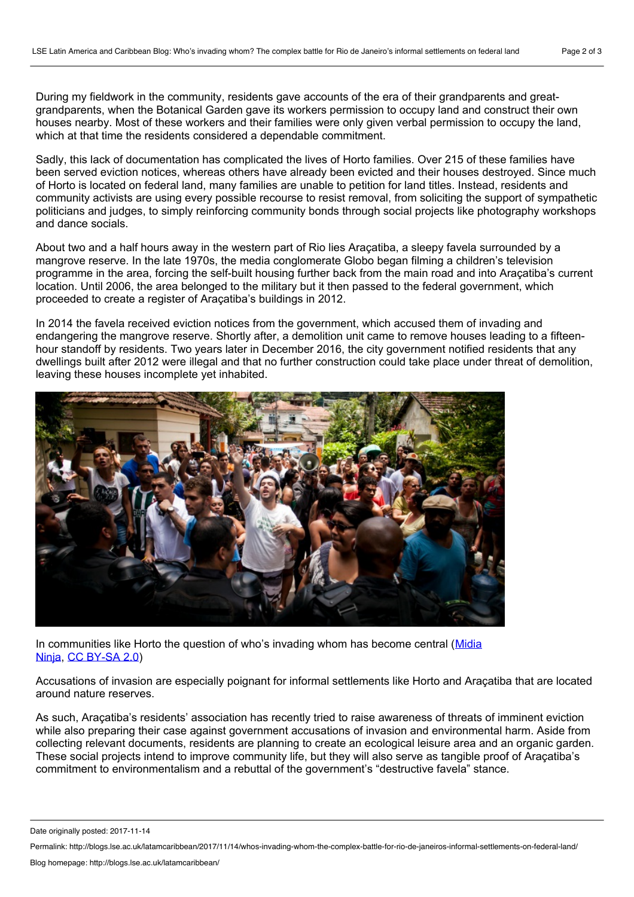During my fieldwork in the community, residents gave accounts of the era of their grandparents and great grandparents, when the Botanical Garden gave its workers permission to occupy land and construct their own houses nearby. Most of these workers and their families were only given verbal permission to occupy the land, which at that time the residents considered a dependable commitment.

Sadly, this lack of documentation has complicated the lives of Horto families. Over 215 of these families have been served eviction notices, whereas others have already been evicted and their houses destroyed. Since much of Horto is located on federal land, many families are unable to petition for land titles. Instead, residents and community activists are using every possible recourse to resist removal, from soliciting the support of sympathetic politicians and judges, to simply reinforcing community bonds through social projects like photography workshops and dance socials.

About two and a half hours away in the western part of Rio lies Araçatiba, a sleepy favela surrounded by a mangrove reserve. In the late 1970s, the media conglomerate Globo began filming a children's television programme in the area, forcing the self-built housing further back from the main road and into Araçatiba's current location. Until 2006, the area belonged to the military but it then passed to the federal government, which proceeded to create a register of Araçatiba's buildings in 2012.

In 2014 the favela received eviction notices from the government, which accused them of invading and endangering the mangrove reserve. Shortly after, a demolition unit came to remove houses leading to a fifteen hour standoff by residents. Two years later in December 2016, the city government notified residents that any dwellings built after 2012 were illegal and that no further construction could take place under threat of demolition, leaving these houses incomplete yet inhabited.



In [communities](https://www.flickr.com/photos/midianinja/30215573813/in/album-72157676191551806/) like Horto the question of who's invading whom has become central (Midia Ninja, CC [BY-SA](https://creativecommons.org/licenses/by-sa/2.0/) 2.0)

Accusations of invasion are especially poignant for informal settlements like Horto and Araçatiba that are located around nature reserves.<br>As such, Araçatiba's residents' association has recently tried to raise awareness of threats of imminent eviction

while also preparing their case against government accusations of invasion and environmental harm. Aside from collecting relevant documents, residents are planning to create an ecological leisure area and an organic garden. These social projects intend to improve community life, but they will also serve as tangible proof of Araçatiba's commitment to environmentalism and a rebuttal of the government's "destructive favela" stance.

Date originally posted: 2017-11-14

Permalink: http://blogs.lse.ac.uk/latamcaribbean/2017/11/14/whos-invading-whom-the-complex-battle-for-rio-de-janeiros-informal-settlements-on-federal-land/